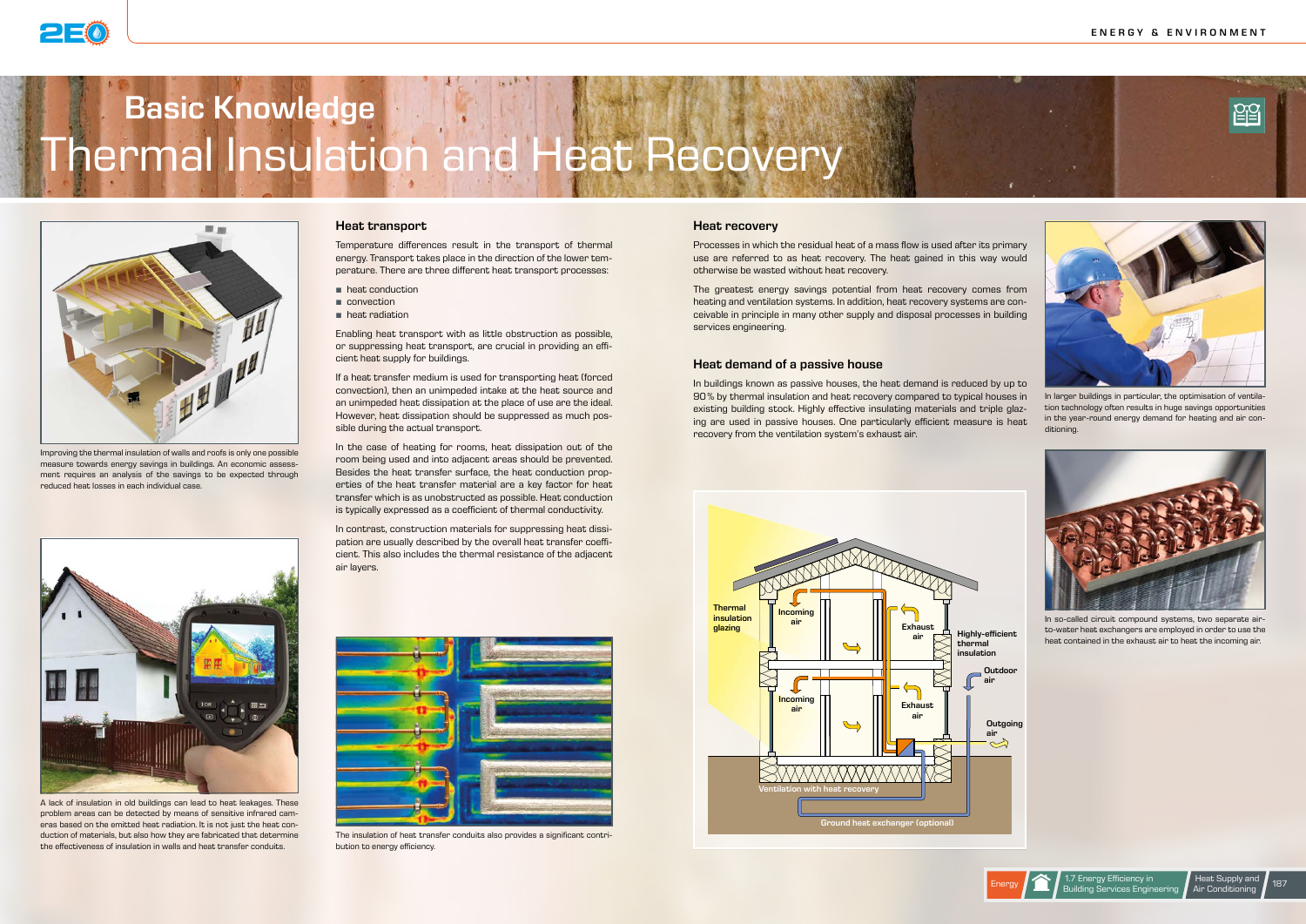# Basic Knowledge (All and All and All and All and All and All and All and All and All and All and All and All a<br>All and All and All and All and All and All and All and All and All and All and All and All and All and All an Thermal Insulation and Heat Recovery Basic Knowledge



## Heat transport

Temperature differences result in the transport of thermal energy. Transport takes place in the direction of the lower temperature. There are three different heat transport processes:

- **heat conduction**
- **convection**
- **heat radiation**

Enabling heat transport with as little obstruction as possible, or suppressing heat transport, are crucial in providing an efficient heat supply for buildings.

In the case of heating for rooms, heat dissipation out of the room being used and into adjacent areas should be prevented. Besides the heat transfer surface, the heat conduction properties of the heat transfer material are a key factor for heat transfer which is as unobstructed as possible. Heat conduction is typically expressed as a coefficient of thermal conductivity.

If a heat transfer medium is used for transporting heat (forced convection), then an unimpeded intake at the heat source and an unimpeded heat dissipation at the place of use are the ideal. However, heat dissipation should be suppressed as much possible during the actual transport.

In contrast, construction materials for suppressing heat dissipation are usually described by the overall heat transfer coefficient. This also includes the thermal resistance of the adjacent air layers.

## Heat recovery

Processes in which the residual heat of a mass flow is used after its primary use are referred to as heat recovery. The heat gained in this way would otherwise be wasted without heat recovery.

The greatest energy savings potential from heat recovery comes from heating and ventilation systems. In addition, heat recovery systems are conceivable in principle in many other supply and disposal processes in building services engineering.

> **Outdoor** air

### Heat demand of a passive house

In buildings known as passive houses, the heat demand is reduced by up to 90% by thermal insulation and heat recovery compared to typical houses in existing building stock. Highly effective insulating materials and triple glazing are used in passive houses. One particularly efficient measure is heat recovery from the ventilation system's exhaust air.

Improving the thermal insulation of walls and roofs is only one possible measure towards energy savings in buildings. An economic assessment requires an analysis of the savings to be expected through reduced heat losses in each individual case.



In larger buildings in particular, the optimisation of ventilation technology often results in huge savings opportunities in the year-round energy demand for heating and air conditioning.

In so-called circuit compound systems, two separate airto-water heat exchangers are employed in order to use the heat contained in the exhaust air to heat the incoming air.



A lack of insulation in old buildings can lead to heat leakages. These problem areas can be detected by means of sensitive infrared cameras based on the emitted heat radiation. It is not just the heat conduction of materials, but also how they are fabricated that determine the effectiveness of insulation in walls and heat transfer conduits.



The insulation of heat transfer conduits also provides a significant contribution to energy efficiency.









Highly-efficient